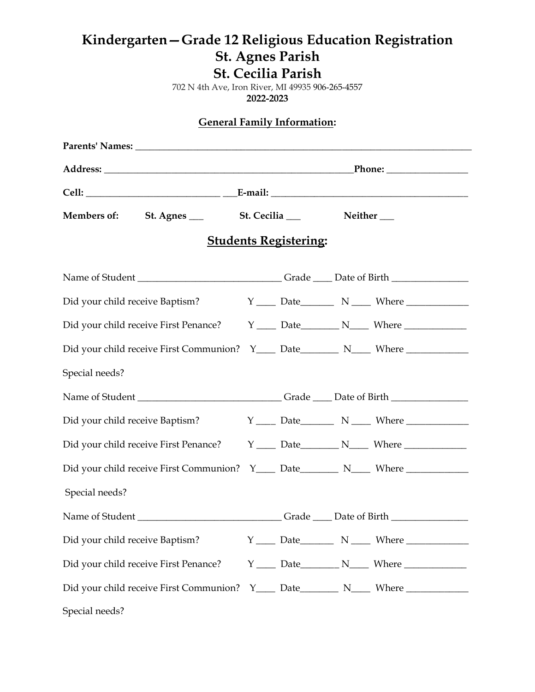## **Kindergarten—Grade 12 Religious Education Registration St. Agnes Parish St. Cecilia Parish**

702 N 4th Ave, Iron River, MI 49935 906-265-4557 **2022-2023**

**General Family Information:**

|                                                                                                      | Members of: St. Agnes _____ St. Cecilia ____ |  |  |  | Neither $\_\_$ |  |  |  |  |  |
|------------------------------------------------------------------------------------------------------|----------------------------------------------|--|--|--|----------------|--|--|--|--|--|
| <b>Students Registering:</b>                                                                         |                                              |  |  |  |                |  |  |  |  |  |
|                                                                                                      |                                              |  |  |  |                |  |  |  |  |  |
| Did your child receive Baptism?                                                                      |                                              |  |  |  |                |  |  |  |  |  |
| Did your child receive First Penance? $Y$ ______ Date __________ N_____ Where ______________________ |                                              |  |  |  |                |  |  |  |  |  |
| Did your child receive First Communion? Y____ Date_________ N____ Where _________                    |                                              |  |  |  |                |  |  |  |  |  |
| Special needs?                                                                                       |                                              |  |  |  |                |  |  |  |  |  |
| Name of Student __________________________________Grade ______Date of Birth ________________________ |                                              |  |  |  |                |  |  |  |  |  |
| Did your child receive Baptism?                                                                      |                                              |  |  |  |                |  |  |  |  |  |
| Did your child receive First Penance? $Y$ ______ Date__________ N_____ Where ______________          |                                              |  |  |  |                |  |  |  |  |  |
| Did your child receive First Communion? Y____ Date_________ N____ Where _________                    |                                              |  |  |  |                |  |  |  |  |  |
| Special needs?                                                                                       |                                              |  |  |  |                |  |  |  |  |  |
| Name of Student __________________________________Grade ______Date of Birth ________________________ |                                              |  |  |  |                |  |  |  |  |  |
| Did your child receive Baptism?                                                                      |                                              |  |  |  |                |  |  |  |  |  |
| Did your child receive First Penance? $Y$ ______ Date___________ N_____ Where ______________________ |                                              |  |  |  |                |  |  |  |  |  |
| Did your child receive First Communion? Y____ Date_________ N____ Where _________                    |                                              |  |  |  |                |  |  |  |  |  |
| Special needs?                                                                                       |                                              |  |  |  |                |  |  |  |  |  |